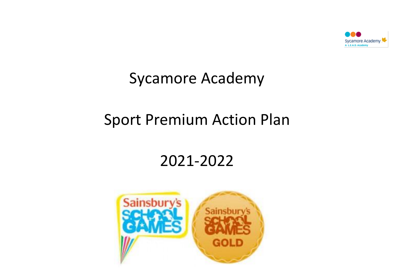

### Sycamore Academy

# Sport Premium Action Plan

# 2021-2022

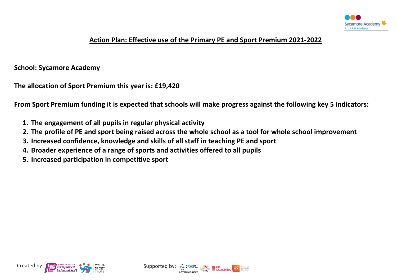

#### **Action Plan: Effective use of the Primary PE and Sport Premium 2021-2022**

#### **School: Sycamore Academy**

**The allocation of Sport Premium this year is: £19,420**

**From Sport Premium funding it is expected that schools will make progress against the following key 5 indicators:**

- **1. The engagement of all pupils in regular physical activity**
- **2. The profile of PE and sport being raised across the whole school as a tool for whole school improvement**
- **3. Increased confidence, knowledge and skills of all staff in teaching PE and sport**
- **4. Broader experience of a range of sports and activities offered to all pupils**
- **5. Increased participation in competitive sport**



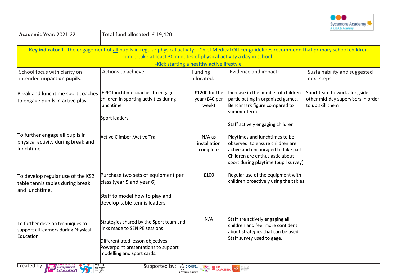

| Academic Year: 2021-22                                                                  | Total fund allocated: £19,420                                                                                                                                                                                              |                                           |                                                                                                                                                                                    |                                                                                        |
|-----------------------------------------------------------------------------------------|----------------------------------------------------------------------------------------------------------------------------------------------------------------------------------------------------------------------------|-------------------------------------------|------------------------------------------------------------------------------------------------------------------------------------------------------------------------------------|----------------------------------------------------------------------------------------|
|                                                                                         | Key indicator 1: The engagement of all pupils in regular physical activity - Chief Medical Officer guidelines recommend that primary school children<br>undertake at least 30 minutes of physical activity a day in school | -Kick starting a healthy active lifestyle |                                                                                                                                                                                    |                                                                                        |
| School focus with clarity on<br>intended impact on pupils:                              | Actions to achieve:                                                                                                                                                                                                        | Funding<br>allocated:                     | Evidence and impact:                                                                                                                                                               | Sustainability and suggested<br>next steps:                                            |
| Break and lunchtime sport coaches<br>to engage pupils in active play                    | EPIC lunchtime coaches to engage<br>children in sporting activities during<br>lunchtime<br>Sport leaders                                                                                                                   | £1200 for the<br>year (£40 per<br>week)   | Increase in the number of children<br>participating in organized games.<br>Benchmark figure compared to<br>summer term<br>Staff actively engaging children                         | Sport team to work alongside<br>other mid-day supervisors in order<br>to up skill them |
| To further engage all pupils in<br>physical activity during break and<br>llunchtime     | Active Climber / Active Trail                                                                                                                                                                                              | $N/A$ as<br>installation<br>complete      | Playtimes and lunchtimes to be<br>observed to ensure children are<br>active and encouraged to take part<br>Children are enthusiastic about<br>sport during playtime (pupil survey) |                                                                                        |
| To develop regular use of the KS2<br>table tennis tables during break<br>and lunchtime. | Purchase two sets of equipment per<br>class (year 5 and year 6)<br>Staff to model how to play and<br>develop table tennis leaders.                                                                                         | £100                                      | Regular use of the equipment with<br>children proactively using the tables.                                                                                                        |                                                                                        |
| To further develop techniques to<br>support all learners during Physical<br>Education   | Strategies shared by the Sport team and<br>links made to SEN PE sessions<br>Differentiated lesson objectives,<br>Powerpoint presentations to support<br>modelling and sport cards.                                         | N/A                                       | Staff are actively engaging all<br>children and feel more confident<br>about strategies that can be used.<br>Staff survey used to gage.                                            |                                                                                        |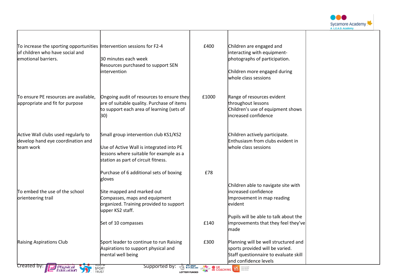

| To increase the sporting opportunities Intervention sessions for F2-4<br>of children who have social and<br>emotional barriers. | 30 minutes each week                                                                                                                                                | £400                                                                                                                                                                                                                                         | Children are engaged and<br>interacting with equipment-<br>photographs of participation.                                                  |  |
|---------------------------------------------------------------------------------------------------------------------------------|---------------------------------------------------------------------------------------------------------------------------------------------------------------------|----------------------------------------------------------------------------------------------------------------------------------------------------------------------------------------------------------------------------------------------|-------------------------------------------------------------------------------------------------------------------------------------------|--|
|                                                                                                                                 | Resources purchased to support SEN<br>intervention                                                                                                                  |                                                                                                                                                                                                                                              | Children more engaged during<br>whole class sessions                                                                                      |  |
| To ensure PE resources are available,<br>appropriate and fit for purpose                                                        | Ongoing audit of resources to ensure they<br>are of suitable quality. Purchase of items<br>to support each area of learning (sets of<br>30)                         | £1000                                                                                                                                                                                                                                        | Range of resources evident<br>throughout lessons<br>Children's use of equipment shows<br>increased confidence                             |  |
| Active Wall clubs used regularly to<br>develop hand eye coordination and<br>team work                                           | Small group intervention club KS1/KS2<br>Use of Active Wall is integrated into PE<br>lessons where suitable for example as a<br>station as part of circuit fitness. |                                                                                                                                                                                                                                              | Children actively participate.<br>Enthusiasm from clubs evident in<br>whole class sessions                                                |  |
|                                                                                                                                 | Purchase of 6 additional sets of boxing<br>gloves                                                                                                                   | £78                                                                                                                                                                                                                                          |                                                                                                                                           |  |
| To embed the use of the school<br>orienteering trail                                                                            | Site mapped and marked out<br>Compasses, maps and equipment<br>organized. Training provided to support<br>upper KS2 staff.                                          |                                                                                                                                                                                                                                              | Children able to navigate site with<br>increased confidence<br>Improvement in map reading<br>levident                                     |  |
|                                                                                                                                 | Set of 10 compasses                                                                                                                                                 | £140                                                                                                                                                                                                                                         | Pupils will be able to talk about the<br>improvements that they feel they've<br>made                                                      |  |
| Raising Aspirations Club<br>created by:<br>Physical<br>Education                                                                | Sport leader to continue to run Raising<br>Aspirations to support physical and<br>mental well being<br>Supported by:                                                | £300<br><b>TO PERGLAND CONCHING AND SOCIETY OF A RESIDENCE COACHING AND SECRET DESCRIPTION OF A RESIDENCE OF A RESIDENCE OF A RESIDENCE OF A RESIDENCE OF A RESIDENCE OF A RESIDENCE OF A RESIDENCE OF A RESIDENCE OF A RESIDENCE OF A R</b> | Planning will be well structured and<br>sports provided will be varied.<br>Staff questionnaire to evaluate skill<br>and confidence levels |  |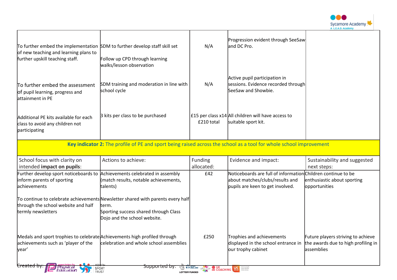

| To further embed the implementation SDM to further develop staff skill set<br>of new teaching and learning plans to<br>further upskill teaching staff. | Follow up CPD through learning<br>walks/lesson observation                                                                                                                            | N/A                                                       | Progression evident through SeeSaw<br>and DC Pro.                                                                                   |                                                                                         |
|--------------------------------------------------------------------------------------------------------------------------------------------------------|---------------------------------------------------------------------------------------------------------------------------------------------------------------------------------------|-----------------------------------------------------------|-------------------------------------------------------------------------------------------------------------------------------------|-----------------------------------------------------------------------------------------|
| To further embed the assessment<br>of pupil learning, progress and<br>attainment in PE                                                                 | SDM training and moderation in line with<br>school cycle                                                                                                                              | N/A                                                       | Active pupil participation in<br>sessions. Evidence recorded through<br>SeeSaw and Showbie.                                         |                                                                                         |
| Additional PE kits available for each<br>class to avoid any children not<br>participating                                                              | 3 kits per class to be purchased                                                                                                                                                      | £210 total                                                | £15 per class $x14$ All children will have access to<br>suitable sport kit.                                                         |                                                                                         |
|                                                                                                                                                        | Key indicator 2: The profile of PE and sport being raised across the school as a tool for whole school improvement                                                                    |                                                           |                                                                                                                                     |                                                                                         |
| School focus with clarity on<br>intended impact on pupils:                                                                                             | Actions to achieve:                                                                                                                                                                   | Funding<br>allocated:                                     | Evidence and impact:                                                                                                                | Sustainability and suggested<br>next steps:                                             |
| Further develop sport noticeboards to Achievements celebrated in assembly<br>inform parents of sporting<br>achievements                                | (match results, notable achievements,<br>talents)                                                                                                                                     | £42                                                       | Noticeboards are full of information Children continue to be<br>about matches/clubs/results and<br>pupils are keen to get involved. | enthusiastic about sporting<br>opportunities                                            |
| through the school website and half<br>termly newsletters                                                                                              | $\uparrow$ o continue to celebrate achievements $\upbeta$ ewsletter shared with parents every half<br>lterm.<br>Sporting success shared through Class<br>Dojo and the school website. |                                                           |                                                                                                                                     |                                                                                         |
| Medals and sport trophies to celebrate Achievements high profiled through<br>achievements such as 'player of the<br>lyear'                             | celebration and whole school assemblies                                                                                                                                               | £250                                                      | Trophies and achievements<br>displayed in the school entrance in<br>our trophy cabinet                                              | Future players striving to achieve<br>the awards due to high profiling in<br>assemblies |
| <del>created b</del><br><i>Physical</i><br>Education<br><b>TRUST</b>                                                                                   | <del>Supported by</del><br>SPORT                                                                                                                                                      | <b>TO WE EVER AND CEPTER TO BE COACHING BETWEEN BEAMS</b> |                                                                                                                                     |                                                                                         |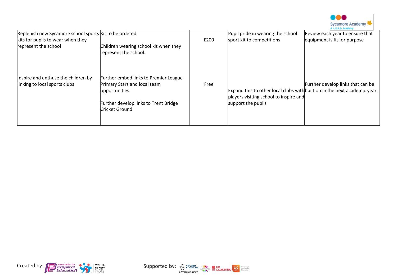

| Replenish new Sycamore school sports Kit to be ordered.              |                                                                                                                                                           |      | Pupil pride in wearing the school                            | Review each year to ensure that                                                                                |
|----------------------------------------------------------------------|-----------------------------------------------------------------------------------------------------------------------------------------------------------|------|--------------------------------------------------------------|----------------------------------------------------------------------------------------------------------------|
| kits for pupils to wear when they                                    |                                                                                                                                                           | £200 | sport kit to competitions                                    | equipment is fit for purpose                                                                                   |
| represent the school                                                 | Children wearing school kit when they<br>represent the school.                                                                                            |      |                                                              |                                                                                                                |
| Inspire and enthuse the children by<br>linking to local sports clubs | <b>Further embed links to Premier League</b><br>Primary Stars and local team<br>opportunities.<br>Further develop links to Trent Bridge<br>Cricket Ground | Free | players visiting school to inspire and<br>support the pupils | Further develop links that can be<br>Expand this to other local clubs with built on in the next academic year. |



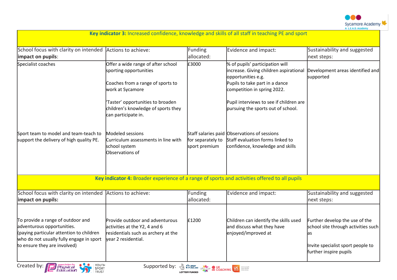

|                                                                                                                                                                                         | Key indicator 3: Increased confidence, knowledge and skills of all staff in teaching PE and sport                              |                                                                                                                                                                                                                                      |                                                                                                                                                                  |                                                                                                                                            |
|-----------------------------------------------------------------------------------------------------------------------------------------------------------------------------------------|--------------------------------------------------------------------------------------------------------------------------------|--------------------------------------------------------------------------------------------------------------------------------------------------------------------------------------------------------------------------------------|------------------------------------------------------------------------------------------------------------------------------------------------------------------|--------------------------------------------------------------------------------------------------------------------------------------------|
| School focus with clarity on intended Actions to achieve:<br>impact on pupils:                                                                                                          |                                                                                                                                | Funding<br>allocated:                                                                                                                                                                                                                | Evidence and impact:                                                                                                                                             | Sustainability and suggested<br>next steps:                                                                                                |
| Specialist coaches                                                                                                                                                                      | Offer a wide range of after school<br>sporting opportunities<br>Coaches from a range of sports to<br>work at Sycamore          | £3000                                                                                                                                                                                                                                | % of pupils' participation will<br>increase. Giving children aspirational<br>opportunities e.g.<br>Pupils to take part in a dance<br>competition in spring 2022. | Development areas identified and<br>supported                                                                                              |
|                                                                                                                                                                                         | Taster' opportunities to broaden<br>children's knowledge of sports they<br>can participate in.                                 |                                                                                                                                                                                                                                      | Pupil interviews to see if children are<br>pursuing the sports out of school.                                                                                    |                                                                                                                                            |
| Sport team to model and team-teach to<br>support the delivery of high quality PE.                                                                                                       | Modeled sessions<br>Curriculum assessments in line with<br>school system<br>Observations of                                    | for separately to<br>sport premium                                                                                                                                                                                                   | Staff salaries paid Observations of sessions<br>Staff evaluation forms linked to<br>confidence, knowledge and skills                                             |                                                                                                                                            |
|                                                                                                                                                                                         | Key indicator 4: Broader experience of a range of sports and activities offered to all pupils                                  |                                                                                                                                                                                                                                      |                                                                                                                                                                  |                                                                                                                                            |
| School focus with clarity on intended Actions to achieve:<br>impact on pupils:                                                                                                          |                                                                                                                                | Funding<br>allocated:                                                                                                                                                                                                                | Evidence and impact:                                                                                                                                             | Sustainability and suggested<br>next steps:                                                                                                |
| To provide a range of outdoor and<br>adventurous opportunities.<br>(paying particular attention to children<br>who do not usually fully engage in sport<br>to ensure they are involved) | Provide outdoor and adventurous<br>activities at the Y2, 4 and 6<br>residentials such as archery at the<br>vear 2 residential. | £1200                                                                                                                                                                                                                                | Children can identify the skills used<br>and discuss what they have<br>enjoyed/improved at                                                                       | Further develop the use of the<br>school site through activities such<br>as<br>Invite specialist sport people to<br>further inspire pupils |
| YOUTH<br>Created by:<br>Physical<br>Education<br>SPORT<br><b>TRUST</b>                                                                                                                  | Supported by:                                                                                                                  | <b>A SP ENGLAND COACHING MANY SERVICE OF A SPORT OF A SPACE OF A SPACE OF A SPACE OF A SPACE OF A SPACE OF A SPACE OF A SPACE OF A SPACE OF A SPACE OF A SPACE OF A SPACE OF A SPACE OF A SPACE OF A SPACE OF A SPACE OF A SPACE</b> |                                                                                                                                                                  |                                                                                                                                            |